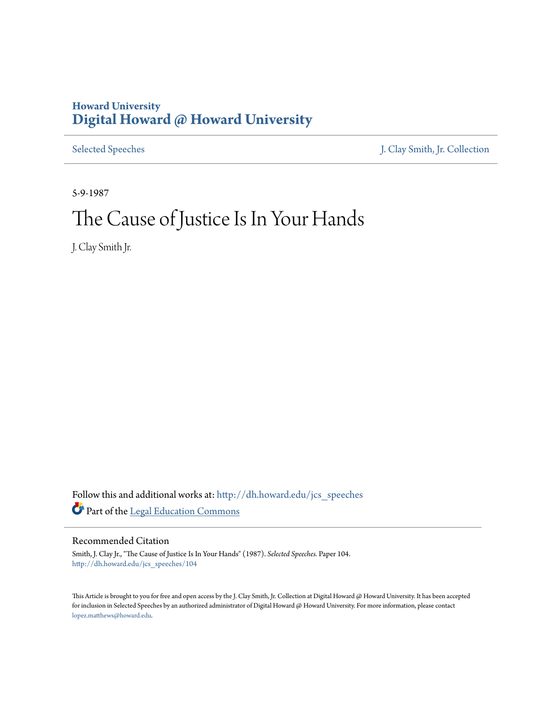## **Howard University [Digital Howard @ Howard University](http://dh.howard.edu?utm_source=dh.howard.edu%2Fjcs_speeches%2F104&utm_medium=PDF&utm_campaign=PDFCoverPages)**

[Selected Speeches](http://dh.howard.edu/jcs_speeches?utm_source=dh.howard.edu%2Fjcs_speeches%2F104&utm_medium=PDF&utm_campaign=PDFCoverPages) [J. Clay Smith, Jr. Collection](http://dh.howard.edu/jcsmith?utm_source=dh.howard.edu%2Fjcs_speeches%2F104&utm_medium=PDF&utm_campaign=PDFCoverPages)

5-9-1987

# The Cause of Justice Is In Your Hands

J. Clay Smith Jr.

Follow this and additional works at: [http://dh.howard.edu/jcs\\_speeches](http://dh.howard.edu/jcs_speeches?utm_source=dh.howard.edu%2Fjcs_speeches%2F104&utm_medium=PDF&utm_campaign=PDFCoverPages) Part of the [Legal Education Commons](http://network.bepress.com/hgg/discipline/857?utm_source=dh.howard.edu%2Fjcs_speeches%2F104&utm_medium=PDF&utm_campaign=PDFCoverPages)

Recommended Citation

Smith, J. Clay Jr., "The Cause of Justice Is In Your Hands" (1987). *Selected Speeches.* Paper 104. [http://dh.howard.edu/jcs\\_speeches/104](http://dh.howard.edu/jcs_speeches/104?utm_source=dh.howard.edu%2Fjcs_speeches%2F104&utm_medium=PDF&utm_campaign=PDFCoverPages)

This Article is brought to you for free and open access by the J. Clay Smith, Jr. Collection at Digital Howard @ Howard University. It has been accepted for inclusion in Selected Speeches by an authorized administrator of Digital Howard @ Howard University. For more information, please contact [lopez.matthews@howard.edu.](mailto:lopez.matthews@howard.edu)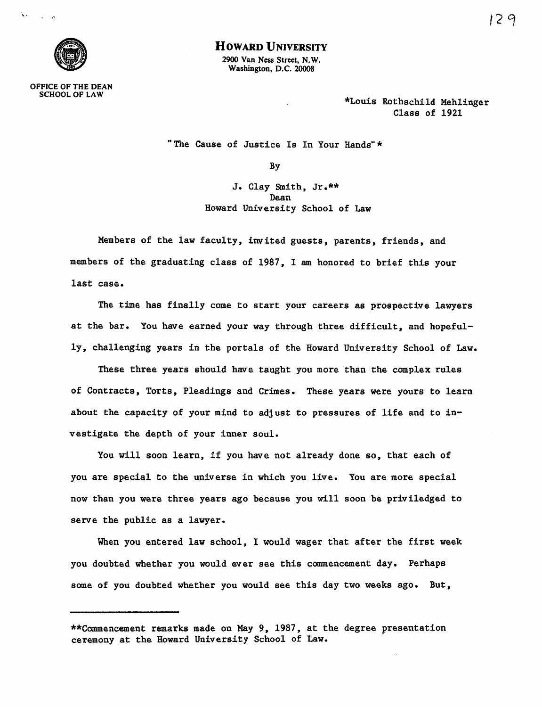

## **HOWARD UNIVERSITY**

2900 Van Ness Street, N.W. Washington, D.C. 20008

OFFICE OF THE DEAN SCHOOL OF LAW

\*Louis Rothschild Mehlinger Class of 1921

"The Cause of Justice Is In Your Hands" \*

By

J. Clay Smith, Jr.\*\* Dean Howard University School of Law

Members of the law faculty, invited guests, parents, friends, and members of the graduating class of 1987, I am honored to brief this your last case.

The time has finally come to start your careers as prospective lawyers at the bar. You have earned your way through three difficult, and hopefully, challenging years in the portals of the Howard University School of Law.

These three years should have taught you more than the complex rules of Contracts, Torts, Pleadings and Crimes. These years were yours to learn about the capacity of your mind to adjust to pressures of life and to investigate the depth of your inner soul.

You will soon learn, if you have not already done so, that each of you are special to the universe in which you live. You are more special now than you were three years ago because you will soon be priviledged to serve the public as a lawyer.

When you entered law school, I would wager that after the first week you doubted whether you would ever see this commencement day. Perhaps some of you doubted whether you would see this day two weeks ago. But,

<sup>\*\*</sup>Cammencement remarks made on May 9, 1987, at the degree presentation ceremony at the Howard University School of Law.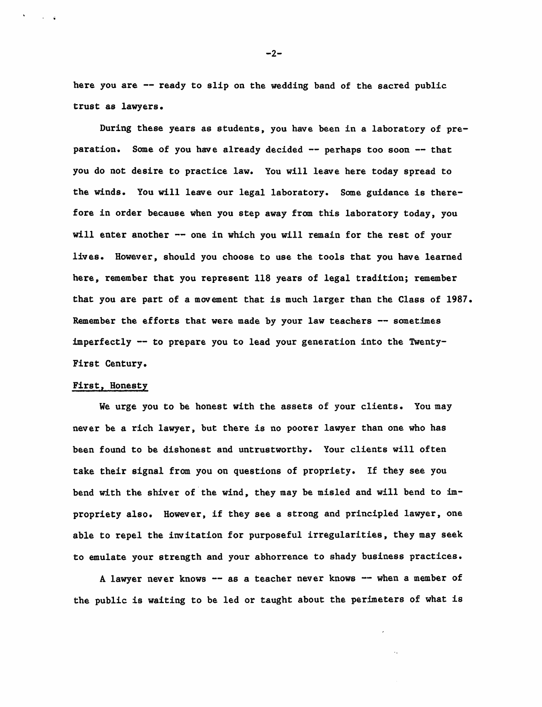here you are -- ready to slip on the wedding band of the sacred public trust as lawyers.

During these years as students, you have been in a laboratory of preparation. Some of you have already decided -- perhaps too soon -- that you do not desire to practice law. You will leave here today spread to the winds. You will leave our legal laboratory. Some guidance is therefore in order because when you step away from this laboratory today, you will enter another -- one in which you will remain for the rest of your lives. However, should you choose to use the tools that you have learned here, remember that you represent 118 years of legal tradition; remember that you are part of a movement that is much larger than the Class of 1987. Remember the efforts that were made by your law teachers  $-$  sometimes imperfectly -- to prepare you to lead your generation into the Twenty-First Century.

## First, Honesty

· .

We urge you to be honest with the assets of your clients. You may never be a rich lawyer, but there is no poorer lawyer than one who has been found to be dishonest and untrustworthy. Your clients will often take their signal from you on questions of propriety. If they see you bend with the shiver of the wind, they may be misled and will bend to impropriety also. However, if they see a strong and principled lawyer, one able to repel the invitation for purposeful irregularities, they may seek to emulate your strength and your abhorrence to shady business practices.

A lawyer never knows -- as a teacher never knows -- when a member of the public is waiting to be led or taught about the perimeters of what is

 $-2-$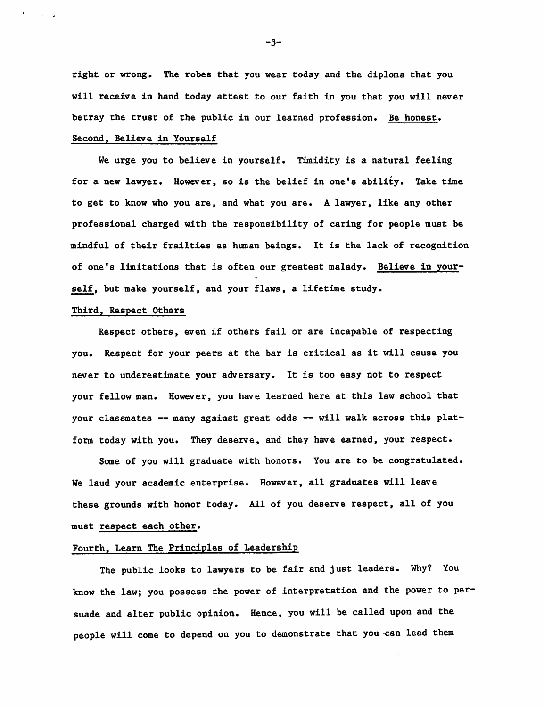right or wrong. The robes that you wear today and the diploma that you will receive in hand today attest to our faith in you that you will never betray the trust of the public in our learned profession. Be honest. Second, Believe in Yourself

We urge you to believe in yourself. Timidity is a natural feeling for a new lawyer. However, so is the belief in one's ability. Take time to get to know who you are, and what you are. A lawyer, like any other professional charged with the responsibility of caring for people must be mindful of their frailties as human beings. It is the lack of recognition of one's limitations that is often our greatest malady. Believe in yourself, but make yourself, and your flaws, a lifetime study.

## Third, Respect Others

 $\cdots$ 

Respect others, even if others fail or are incapable of respecting you. Respect for your peers at the bar is critical as it will cause you never to underestimate your adversary. It is too easy not to respect your fellow man. However, you have learned here at this law school that your classmates -- many against great odds -- will walk across this platform today with you. They deserve, and they have earned, your respect.

Some of you will graduate with honors. You are to be congratulated. We laud your academic enterprise. However, all graduates will leave these grounds with honor today. All of you deserve respect, all of you must respect each other.

## Fourth, Learn The Principles of Leadership

The public looks to lawyers to be fair and just leaders. Why? You know the law; you possess the power of interpretation and the power to persuade and alter public opinion. Hence, you will be called upon and the people will come to depend on you to demonstrate that you can lead them

-3-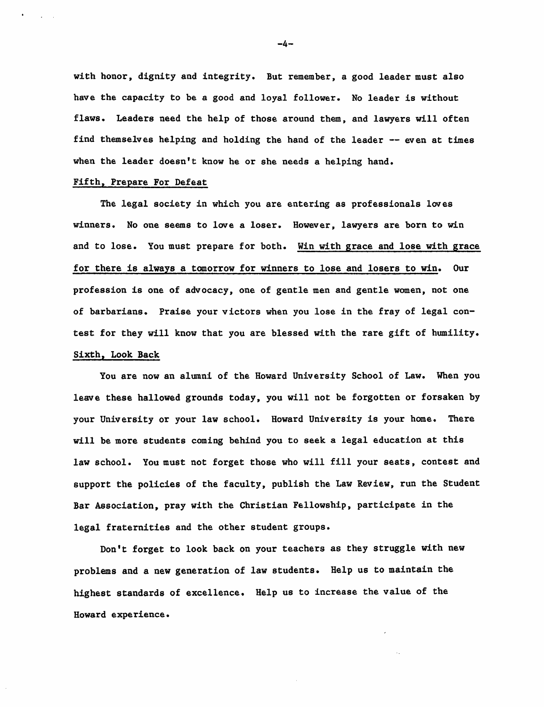with honor, dignity and integrity. But remember, a good leader must also have the capacity to be a good and loyal follower. No leader is without flaws. Leaders need the help of those around them, and lawyers will often find themselves helping and holding the hand of the leader -- even at times when the leader doesn't know he or she needs a helping hand.

#### Fifth, Prepare For Defeat

The legal society in which you are entering as professionals loves winners. No one seems to love a loser. However, lawyers are born to win and to lose. You must prepare for both. Win with grace and lose with grace for there is always a tomorrow for winners to lose and losers to win. Our profession is one of advocacy, one of gentle men and gentle women, not one of barbarians. Praise your victors when you lose in the fray of legal contest for they will know that you are blessed with the rare gift of humility. Sixth, Look Back

You are now an alumni of the Howard University School of Law. When you leave these hallowed grounds today, you will not be forgotten or forsaken by your University or your law school. Howard University is your home. There will be more students coming behind you to seek a legal education at this law school. You must not forget those who will fill your seats, contest and support the policies of the faculty, publish the Law Review, run the Student Bar Association, pray with the Christian Fellowship, participate in the legal fraternities and the other student groups.

Don't forget to look back on your teachers as they struggle with new problems and a new generation of law students. Help us to maintain the highest standards of excellence. Help us to increase the value of the Howard experience.

-4-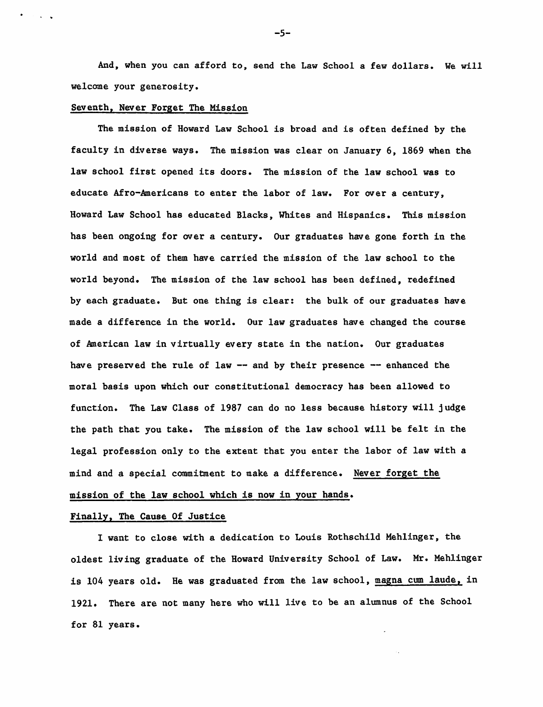And, when you can afford to, send the Law School a few dollars. We will welcome your generosity.

#### Seventh, Never Forget The Mission

and a state

The mission of Howard Law School is broad and is often defined by the faculty in diverse ways. The mission was clear on January 6, 1869 when the law school first opened its doors. The mission of the law school was to educate Afro-Americans to enter the labor of law. For over a century, Howard Law School has educated Blacks, Whites and Hispanics. This mission has been ongoing for over a century. Our graduates have gone forth in the world and most of them have carried the mission of the law school to the world beyond. The mission of the law school has been defined, redefined by each graduate. But one thing is clear: the bulk of our graduates have made a difference in the world. Our law graduates have changed the course of American law in virtually every state in the nation. Our graduates have preserved the rule of law  $-$  and by their presence  $-$  enhanced the moral basis upon which our constitutional democracy has been allowed to function. The Law Class of 1987 can do no less because history will judge the path that you take. The mission of the law school will be felt in the legal profession only to the extent that you enter the labor of law with a mind and a special commitment to make a difference. Never forget the mission of the law school which is now in your hands.

### Finally, The Cause Of Justice

I want to close with a dedication to Louis Rothschild Mehlinger, the oldest living graduate of the Howard University School of Law. Mr. Mehlinger is 104 years old. He was graduated from the law school, magna cum laude, in 1921. There are not many here who will live to be an alumnus of the School for 81 years.

-5-